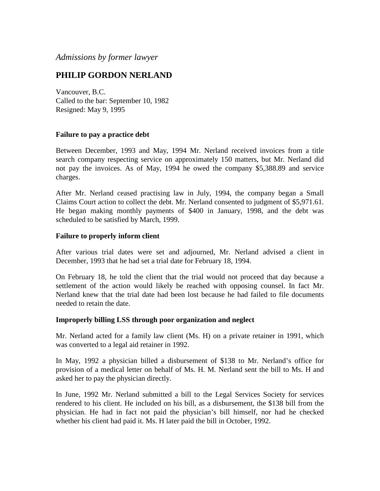# *Admissions by former lawyer*

# **PHILIP GORDON NERLAND**

Vancouver, B.C. Called to the bar: September 10, 1982 Resigned: May 9, 1995

## **Failure to pay a practice debt**

Between December, 1993 and May, 1994 Mr. Nerland received invoices from a title search company respecting service on approximately 150 matters, but Mr. Nerland did not pay the invoices. As of May, 1994 he owed the company \$5,388.89 and service charges.

After Mr. Nerland ceased practising law in July, 1994, the company began a Small Claims Court action to collect the debt. Mr. Nerland consented to judgment of \$5,971.61. He began making monthly payments of \$400 in January, 1998, and the debt was scheduled to be satisfied by March, 1999.

### **Failure to properly inform client**

After various trial dates were set and adjourned, Mr. Nerland advised a client in December, 1993 that he had set a trial date for February 18, 1994.

On February 18, he told the client that the trial would not proceed that day because a settlement of the action would likely be reached with opposing counsel. In fact Mr. Nerland knew that the trial date had been lost because he had failed to file documents needed to retain the date.

### **Improperly billing LSS through poor organization and neglect**

Mr. Nerland acted for a family law client (Ms. H) on a private retainer in 1991, which was converted to a legal aid retainer in 1992.

In May, 1992 a physician billed a disbursement of \$138 to Mr. Nerland's office for provision of a medical letter on behalf of Ms. H. M. Nerland sent the bill to Ms. H and asked her to pay the physician directly.

In June, 1992 Mr. Nerland submitted a bill to the Legal Services Society for services rendered to his client. He included on his bill, as a disbursement, the \$138 bill from the physician. He had in fact not paid the physician's bill himself, nor had he checked whether his client had paid it. Ms. H later paid the bill in October, 1992.